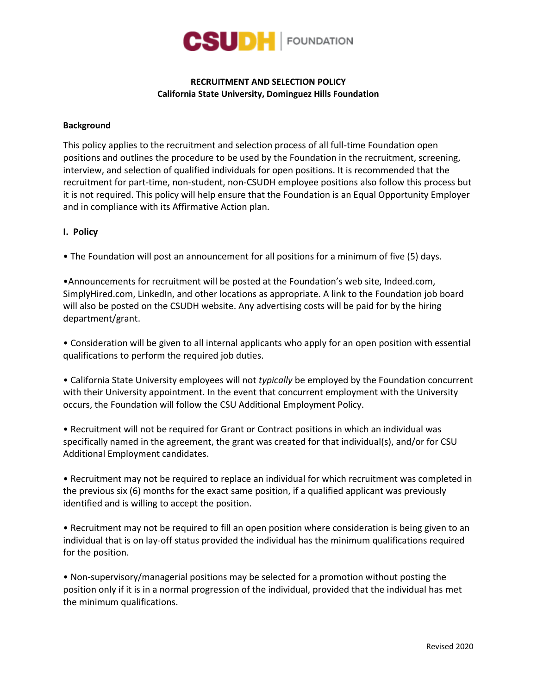

# **RECRUITMENT AND SELECTION POLICY California State University, Dominguez Hills Foundation**

### **Background**

This policy applies to the recruitment and selection process of all full-time Foundation open positions and outlines the procedure to be used by the Foundation in the recruitment, screening, interview, and selection of qualified individuals for open positions. It is recommended that the recruitment for part-time, non-student, non-CSUDH employee positions also follow this process but it is not required. This policy will help ensure that the Foundation is an Equal Opportunity Employer and in compliance with its Affirmative Action plan.

### **I. Policy**

• The Foundation will post an announcement for all positions for a minimum of five (5) days.

•Announcements for recruitment will be posted at the Foundation's web site, Indeed.com, SimplyHired.com, LinkedIn, and other locations as appropriate. A link to the Foundation job board will also be posted on the CSUDH website. Any advertising costs will be paid for by the hiring department/grant.

• Consideration will be given to all internal applicants who apply for an open position with essential qualifications to perform the required job duties.

• California State University employees will not *typically* be employed by the Foundation concurrent with their University appointment. In the event that concurrent employment with the University occurs, the Foundation will follow the CSU Additional Employment Policy.

• Recruitment will not be required for Grant or Contract positions in which an individual was specifically named in the agreement, the grant was created for that individual(s), and/or for CSU Additional Employment candidates.

• Recruitment may not be required to replace an individual for which recruitment was completed in the previous six (6) months for the exact same position, if a qualified applicant was previously identified and is willing to accept the position.

• Recruitment may not be required to fill an open position where consideration is being given to an individual that is on lay-off status provided the individual has the minimum qualifications required for the position.

• Non-supervisory/managerial positions may be selected for a promotion without posting the position only if it is in a normal progression of the individual, provided that the individual has met the minimum qualifications.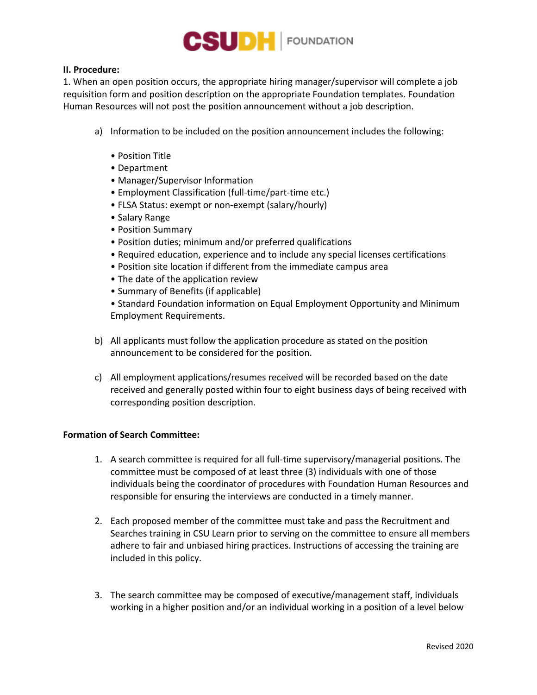

## **II. Procedure:**

1. When an open position occurs, the appropriate hiring manager/supervisor will complete a job requisition form and position description on the appropriate Foundation templates. Foundation Human Resources will not post the position announcement without a job description.

- a) Information to be included on the position announcement includes the following:
	- Position Title
	- Department
	- Manager/Supervisor Information
	- Employment Classification (full-time/part-time etc.)
	- FLSA Status: exempt or non-exempt (salary/hourly)
	- Salary Range
	- Position Summary
	- Position duties; minimum and/or preferred qualifications
	- Required education, experience and to include any special licenses certifications
	- Position site location if different from the immediate campus area
	- The date of the application review
	- Summary of Benefits (if applicable)

• Standard Foundation information on Equal Employment Opportunity and Minimum Employment Requirements.

- b) All applicants must follow the application procedure as stated on the position announcement to be considered for the position.
- c) All employment applications/resumes received will be recorded based on the date received and generally posted within four to eight business days of being received with corresponding position description.

## **Formation of Search Committee:**

- 1. A search committee is required for all full-time supervisory/managerial positions. The committee must be composed of at least three (3) individuals with one of those individuals being the coordinator of procedures with Foundation Human Resources and responsible for ensuring the interviews are conducted in a timely manner.
- 2. Each proposed member of the committee must take and pass the Recruitment and Searches training in CSU Learn prior to serving on the committee to ensure all members adhere to fair and unbiased hiring practices. Instructions of accessing the training are included in this policy.
- 3. The search committee may be composed of executive/management staff, individuals working in a higher position and/or an individual working in a position of a level below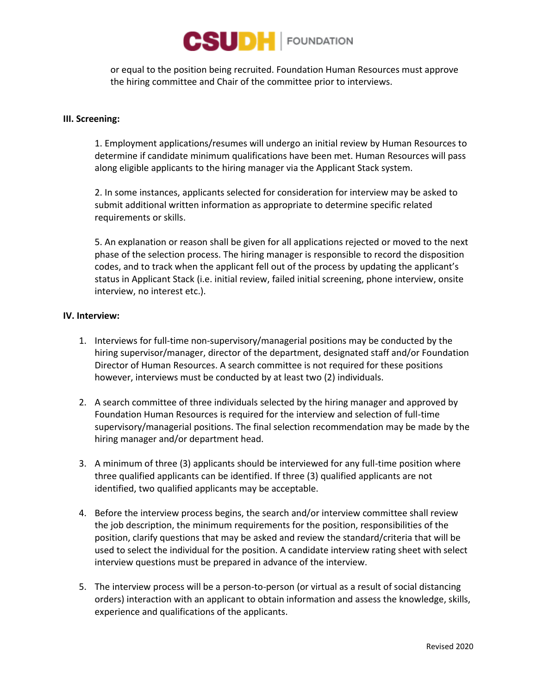

or equal to the position being recruited. Foundation Human Resources must approve the hiring committee and Chair of the committee prior to interviews.

### **III. Screening:**

1. Employment applications/resumes will undergo an initial review by Human Resources to determine if candidate minimum qualifications have been met. Human Resources will pass along eligible applicants to the hiring manager via the Applicant Stack system.

2. In some instances, applicants selected for consideration for interview may be asked to submit additional written information as appropriate to determine specific related requirements or skills.

5. An explanation or reason shall be given for all applications rejected or moved to the next phase of the selection process. The hiring manager is responsible to record the disposition codes, and to track when the applicant fell out of the process by updating the applicant's status in Applicant Stack (i.e. initial review, failed initial screening, phone interview, onsite interview, no interest etc.).

## **IV. Interview:**

- 1. Interviews for full-time non-supervisory/managerial positions may be conducted by the hiring supervisor/manager, director of the department, designated staff and/or Foundation Director of Human Resources. A search committee is not required for these positions however, interviews must be conducted by at least two (2) individuals.
- 2. A search committee of three individuals selected by the hiring manager and approved by Foundation Human Resources is required for the interview and selection of full-time supervisory/managerial positions. The final selection recommendation may be made by the hiring manager and/or department head.
- 3. A minimum of three (3) applicants should be interviewed for any full-time position where three qualified applicants can be identified. If three (3) qualified applicants are not identified, two qualified applicants may be acceptable.
- 4. Before the interview process begins, the search and/or interview committee shall review the job description, the minimum requirements for the position, responsibilities of the position, clarify questions that may be asked and review the standard/criteria that will be used to select the individual for the position. A candidate interview rating sheet with select interview questions must be prepared in advance of the interview.
- 5. The interview process will be a person-to-person (or virtual as a result of social distancing orders) interaction with an applicant to obtain information and assess the knowledge, skills, experience and qualifications of the applicants.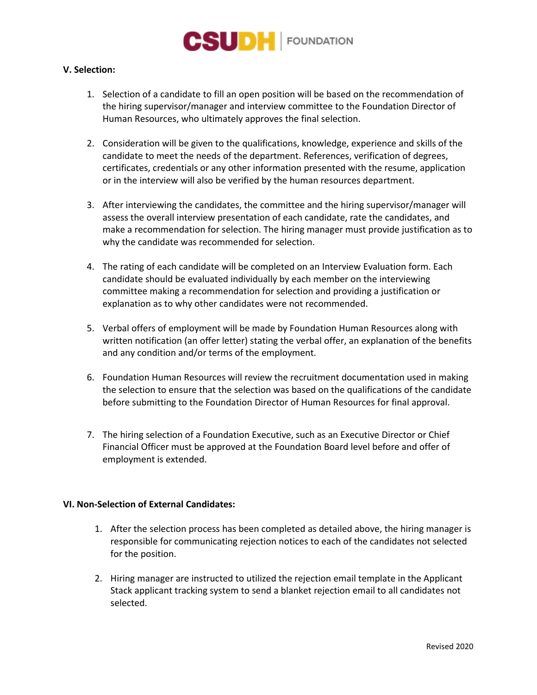

## **V. Selection:**

- 1. Selection of a candidate to fill an open position will be based on the recommendation of the hiring supervisor/manager and interview committee to the Foundation Director of Human Resources, who ultimately approves the final selection.
- 2. Consideration will be given to the qualifications, knowledge, experience and skills of the candidate to meet the needs of the department. References, verification of degrees, certificates, credentials or any other information presented with the resume, application or in the interview will also be verified by the human resources department.
- 3. After interviewing the candidates, the committee and the hiring supervisor/manager will assess the overall interview presentation of each candidate, rate the candidates, and make a recommendation for selection. The hiring manager must provide justification as to why the candidate was recommended for selection.
- 4. The rating of each candidate will be completed on an Interview Evaluation form. Each candidate should be evaluated individually by each member on the interviewing committee making a recommendation for selection and providing a justification or explanation as to why other candidates were not recommended.
- 5. Verbal offers of employment will be made by Foundation Human Resources along with written notification (an offer letter) stating the verbal offer, an explanation of the benefits and any condition and/or terms of the employment.
- 6. Foundation Human Resources will review the recruitment documentation used in making the selection to ensure that the selection was based on the qualifications of the candidate before submitting to the Foundation Director of Human Resources for final approval.
- 7. The hiring selection of a Foundation Executive, such as an Executive Director or Chief Financial Officer must be approved at the Foundation Board level before and offer of employment is extended.

## **VI. Non-Selection of External Candidates:**

- 1. After the selection process has been completed as detailed above, the hiring manager is responsible for communicating rejection notices to each of the candidates not selected for the position.
- 2. Hiring manager are instructed to utilized the rejection email template in the Applicant Stack applicant tracking system to send a blanket rejection email to all candidates not selected.